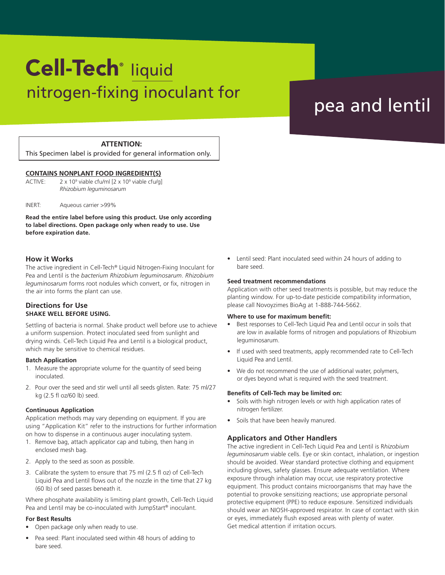# nitrogen-fixing inoculant for the speaking peaking peaking in the set of the speaking of the speaking of the s Cell-Tech<sup>®</sup> liquid

# **ATTENTION:**

This Specimen label is provided for general information only.

### **CONTAINS NONPLANT FOOD INGREDIENT(S)**

ACTIVE: viable cfu/ml [2 x 10<sup>9</sup> viable cfu/g] *Rhizobium leguminosarum*

INERT: Aqueous carrier >99%

**Read the entire label before using this product. Use only according to label directions. Open package only when ready to use. Use before expiration date.**

### **How it Works**

The active ingredient in Cell-Tech® Liquid Nitrogen-Fixing Inoculant for Pea and Lentil is the *bacterium Rhizobium leguminosarum*. *Rhizobium leguminosarum* forms root nodules which convert, or fix, nitrogen in the air into forms the plant can use.

# **Directions for Use SHAKE WELL BEFORE USING.**

Settling of bacteria is normal. Shake product well before use to achieve a uniform suspension. Protect inoculated seed from sunlight and drying winds. Cell-Tech Liquid Pea and Lentil is a biological product, which may be sensitive to chemical residues.

#### **Batch Application**

- 1. Measure the appropriate volume for the quantity of seed being inoculated.
- 2. Pour over the seed and stir well until all seeds glisten. Rate: 75 ml/27 kg (2.5 fl oz/60 lb) seed.

#### **Continuous Application**

Application methods may vary depending on equipment. If you are using "Application Kit" refer to the instructions for further information on how to dispense in a continuous auger inoculating system.

- 1. Remove bag, attach applicator cap and tubing, then hang in enclosed mesh bag.
- 2. Apply to the seed as soon as possible.
- 3. Calibrate the system to ensure that 75 ml (2.5 fl oz) of Cell-Tech Liquid Pea and Lentil flows out of the nozzle in the time that 27 kg (60 lb) of seed passes beneath it.

Where phosphate availability is limiting plant growth, Cell-Tech Liquid Pea and Lentil may be co-inoculated with JumpStart® inoculant.

#### **For Best Results**

- Open package only when ready to use.
- Pea seed: Plant inoculated seed within 48 hours of adding to bare seed.

• Lentil seed: Plant inoculated seed within 24 hours of adding to bare seed.

#### **Seed treatment recommendations**

Application with other seed treatments is possible, but may reduce the planting window. For up-to-date pesticide compatibility information, please call Novoyzimes BioAg at 1-888-744-5662.

### **Where to use for maximum benefit:**

- Best responses to Cell-Tech Liquid Pea and Lentil occur in soils that are low in available forms of nitrogen and populations of Rhizobium leguminosarum.
- If used with seed treatments, apply recommended rate to Cell-Tech Liquid Pea and Lentil.
- We do not recommend the use of additional water, polymers, or dyes beyond what is required with the seed treatment.

#### **Benefits of Cell-Tech may be limited on:**

- Soils with high nitrogen levels or with high application rates of nitrogen fertilizer.
- Soils that have been heavily manured.

# **Applicators and Other Handlers**

The active ingredient in Cell-Tech Liquid Pea and Lentil is R*hizobium leguminosarum* viable cells. Eye or skin contact, inhalation, or ingestion should be avoided. Wear standard protective clothing and equipment including gloves, safety glasses. Ensure adequate ventilation. Where exposure through inhalation may occur, use respiratory protective equipment. This product contains microorganisms that may have the potential to provoke sensitizing reactions; use appropriate personal protective equipment (PPE) to reduce exposure. Sensitized individuals should wear an NIOSH-approved respirator. In case of contact with skin or eyes, immediately flush exposed areas with plenty of water. Get medical attention if irritation occurs.